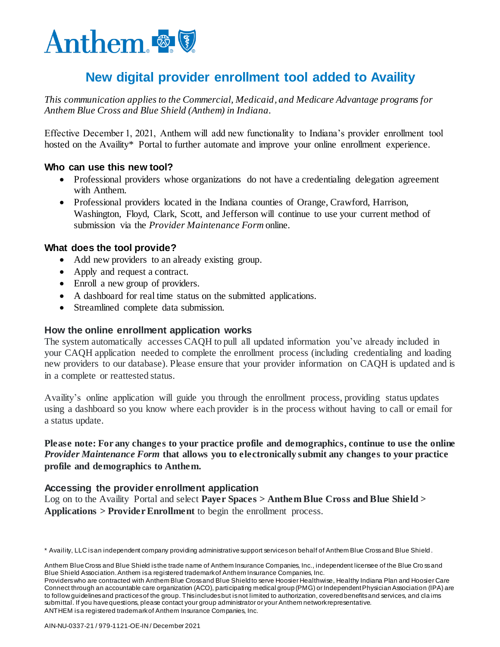

# **New digital provider enrollment tool added to Availity**

*This communication applies to the Commercial, Medicaid, and Medicare Advantage programs for Anthem Blue Cross and Blue Shield (Anthem) in Indiana.*

Effective December 1, 2021, Anthem will add new functionality to Indiana's provider enrollment tool hosted on the Availity\* Portal to further automate and improve your online enrollment experience.

## **Who can use this new tool?**

- Professional providers whose organizations do not have a credentialing delegation agreement with Anthem.
- Professional providers located in the Indiana counties of Orange, Crawford, Harrison, Washington, Floyd, Clark, Scott, and Jefferson will continue to use your current method of submission via the *Provider Maintenance Form* online.

## **What does the tool provide?**

- Add new providers to an already existing group.
- Apply and request a contract.
- Enroll a new group of providers.
- A dashboard for real time status on the submitted applications.
- Streamlined complete data submission.

#### **How the online enrollment application works**

The system automatically accesses CAQH to pull all updated information you've already included in your CAQH application needed to complete the enrollment process (including credentialing and loading new providers to our database). Please ensure that your provider information on CAQH is updated and is in a complete or reattested status.

Availity's online application will guide you through the enrollment process, providing status updates using a dashboard so you know where each provider is in the process without having to call or email for a status update.

## **Please note: For any changes to your practice profile and demographics, continue to use the online**  *Provider Maintenance Form* **that allows you to electronically submit any changes to your practice profile and demographics to Anthem.**

#### **Accessing the provider enrollment application**

Log on to the Availity Portal and select **Payer Spaces > Anthem Blue Cross and Blue Shield > Applications > Provider Enrollment** to begin the enrollment process.

<sup>\*</sup> Availity, LLC is an independent company providing administrative support services on behalf of Anthem Blue Cross and Blue Shield .

Anthem Blue Cross and Blue Shield is the trade name of Anthem Insurance Companies, Inc., independent licensee of the Blue Cross and Blue Shield Association. Anthem is a registered trademark of Anthem Insurance Companies, Inc.

Providers who are contracted with Anthem Blue Cross and Blue Shield to serve Hoosier Healthwise, Healthy Indiana Plan and Hoosier Care Connect through an accountable care organization (ACO), participating medical group (PMG) or Independent Physician Association (IPA) are to follow guidelines and practices of the group. This includes but is not limited to authorization, covered benefits and services, and cla ims submittal. If you have questions, please contact your group administrator or your Anthem network representative. ANTHEM is a registered trademark of Anthem Insurance Companies, Inc.